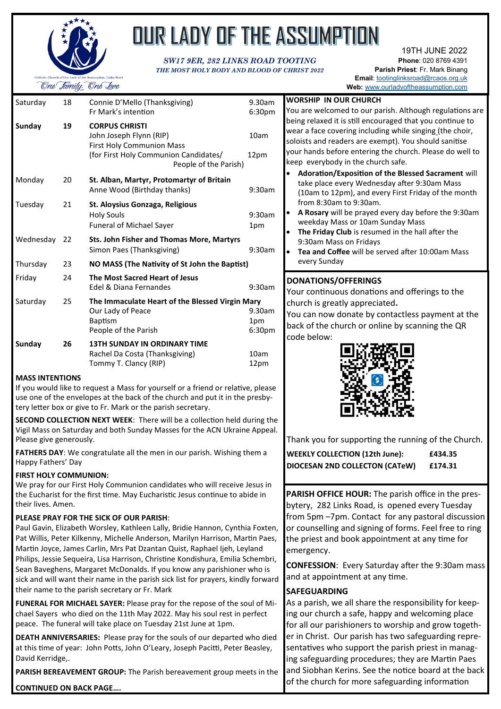

# OUR LADY OF THE ASSUMPTION

#### *SW17 9ER, 282 LINKS ROAD TOOTING THE MOST HOLY BODY AND BLOOD OF CHRIST 2022*

19TH JUNE 2022 **Phone**: 020 8769 4391 **Parish Priest**: Fr. Mark Binang **Email**: [tootinglinksroad@rcaos.org.uk](mailto:tootinglinksroad@rcaos.org.uk) **Web:** [www.ourladyoftheassumption.com](http://www.ourladyoftheassumption.com)

| Saturday  | 18 | Connie D'Mello (Thanksgiving)<br>Fr Mark's intention                                                                                                   | 9.30am<br>6:30 <sub>pm</sub>        |
|-----------|----|--------------------------------------------------------------------------------------------------------------------------------------------------------|-------------------------------------|
| Sunday    | 19 | <b>CORPUS CHRISTI</b><br>John Joseph Flynn (RIP)<br><b>First Holy Communion Mass</b><br>(for First Holy Communion Candidates/<br>People of the Parish) | 10am<br>12pm                        |
| Monday    | 20 | St. Alban, Martyr, Protomartyr of Britain<br>Anne Wood (Birthday thanks)                                                                               | 9:30am                              |
| Tuesday   | 21 | St. Aloysius Gonzaga, Religious<br><b>Holy Souls</b><br>Funeral of Michael Sayer                                                                       | 9:30am<br>1pm                       |
| Wednesday | 22 | <b>Sts. John Fisher and Thomas More, Martyrs</b><br>Simon Paes (Thanksgiving)                                                                          | 9:30am                              |
| Thursday  | 23 | NO MASS (The Nativity of St John the Baptist)                                                                                                          |                                     |
| Friday    | 24 | The Most Sacred Heart of Jesus<br>Edel & Diana Fernandes                                                                                               | 9:30am                              |
| Saturday  | 25 | The Immaculate Heart of the Blessed Virgin Mary<br>Our Lady of Peace<br><b>Baptism</b><br>People of the Parish                                         | 9.30am<br>1pm<br>6:30 <sub>pm</sub> |
| Sunday    | 26 | <b>13TH SUNDAY IN ORDINARY TIME</b><br>Rachel Da Costa (Thanksgiving)<br>Tommy T. Clancy (RIP)                                                         | 10am<br>12pm                        |

#### **MASS INTENTIONS**

If you would like to request a Mass for yourself or a friend or relative, pl use one of the envelopes at the back of the church and put it in the prest tery letter box or give to Fr. Mark or the parish secretary.

**SECOND COLLECTION NEXT WEEK: There will be a collection held during** Vigil Mass on Saturday and both Sunday Masses for the ACN Ukraine Appeal. Please give generously.

FATHERS DAY: We congratulate all the men in our parish. Wishing them Happy Fathers' Day

#### **FIRST HOLY COMMUNION:**

We pray for our First Holy Communion candidates who will receive Jesus the Eucharist for the first time. May Eucharistic Jesus continue to abide their lives. Amen.

#### **PLEASE PRAY FOR THE SICK OF OUR PARISH**:

Paul Gavin, Elizabeth Worsley, Kathleen Lally, Bridie Hannon, Cynthia Fo Pat Willis, Peter Kilkenny, Michelle Anderson, Marilyn Harrison, Martin Paes, Martin Joyce, James Carlin, Mrs Pat Dzantan Quist, Raphael Ijeh, Leyland Philips, Jessie Sequeira, Lisa Harrison, Christine Kondishura, Emilia Schembri, Sean Baveghens, Margaret McDonalds. If you know any parishioner who is sick and will want their name in the parish sick list for prayers, kindly forward their name to the parish secretary or Fr. Mark

**FUNERAL FOR MICHAEL SAYER:** Please pray for the repose of the soul of Michael Sayers who died on the 11th May 2022. May his soul rest in perfect peace. The funeral will take place on Tuesday 21st June at 1pm.

**DEATH ANNIVERSARIES:** Please pray for the souls of our departed who died at this time of year: John Potts, John O'Leary, Joseph Pacitti, Peter Beasley, David Kerridge,.

**PARISH BEREAVEMENT GROUP:** The Parish bereavement group meets in the

**CONTINUED ON BACK PAGE….**

| :0am                                                                     | <b>WORSHIP IN OUR CHURCH</b>                                                                                                                                                                                                                                                                                                                                                                                                            |
|--------------------------------------------------------------------------|-----------------------------------------------------------------------------------------------------------------------------------------------------------------------------------------------------------------------------------------------------------------------------------------------------------------------------------------------------------------------------------------------------------------------------------------|
| Opm                                                                      | You are welcomed to our parish. Although regulations are<br>being relaxed it is still encouraged that you continue to                                                                                                                                                                                                                                                                                                                   |
| am                                                                       | wear a face covering including while singing (the choir,<br>soloists and readers are exempt). You should sanitise                                                                                                                                                                                                                                                                                                                       |
| )m                                                                       | your hands before entering the church. Please do well to<br>keep everybody in the church safe.                                                                                                                                                                                                                                                                                                                                          |
| ፡0am<br>0am<br>m<br>ነ0am                                                 | <b>Adoration/Exposition of the Blessed Sacrament will</b><br>take place every Wednesday after 9:30am Mass<br>(10am to 12pm), and every First Friday of the month<br>from 8:30am to 9:30am.<br>A Rosary will be prayed every day before the 9:30am<br>weekday Mass or 10am Sunday Mass<br>The Friday Club is resumed in the hall after the<br>9:30am Mass on Fridays<br>Tea and Coffee will be served after 10:00am Mass<br>every Sunday |
| ፡0am<br>0am;<br>m<br>Opm<br>am<br>рm<br>lease<br>sby-<br>ng the<br>peal. | <b>DONATIONS/OFFERINGS</b><br>Your continuous donations and offerings to the<br>church is greatly appreciated.<br>You can now donate by contactless payment at the<br>back of the church or online by scanning the QR<br>code below:                                                                                                                                                                                                    |
|                                                                          | Thank you for supporting the running of the Church.                                                                                                                                                                                                                                                                                                                                                                                     |
| ٦a                                                                       | <b>WEEKLY COLLECTION (12th June):</b><br>£434.35<br>DIOCESAN 2ND COLLECTON (CATeW)<br>£174.31                                                                                                                                                                                                                                                                                                                                           |
| ıs in                                                                    |                                                                                                                                                                                                                                                                                                                                                                                                                                         |
| in<br>,xten                                                              | PARISH OFFICE HOUR: The parish office in the pres-<br>bytery, 282 Links Road, is opened every Tuesday<br>from 5pm -7pm. Contact for any pastoral discussion<br>or counselling and signing of forms. Feel free to ring                                                                                                                                                                                                                   |
|                                                                          |                                                                                                                                                                                                                                                                                                                                                                                                                                         |

the priest and book appointment at any time for emergency. **CONFESSION**: Every Saturday after the 9:30am mass

#### **SAFEGUARDING**

and at appointment at any time.

As a parish, we all share the responsibility for keeping our church a safe, happy and welcoming place for all our parishioners to worship and grow together in Christ. Our parish has two safeguarding representatives who support the parish priest in managing safeguarding procedures; they are Martin Paes and Siobhan Kerins. See the notice board at the back of the church for more safeguarding information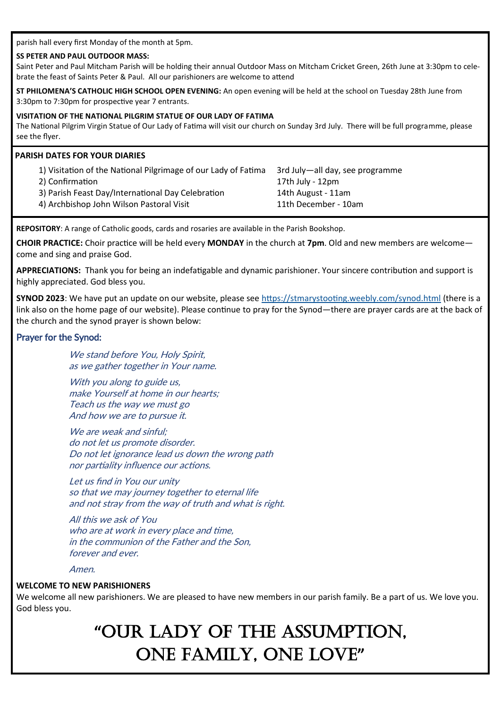parish hall every first Monday of the month at 5pm.

#### **SS PETER AND PAUL OUTDOOR MASS:**

Saint Peter and Paul Mitcham Parish will be holding their annual Outdoor Mass on Mitcham Cricket Green, 26th June at 3:30pm to celebrate the feast of Saints Peter & Paul. All our parishioners are welcome to attend

**ST PHILOMENA'S CATHOLIC HIGH SCHOOL OPEN EVENING:** An open evening will be held at the school on Tuesday 28th June from 3:30pm to 7:30pm for prospective year 7 entrants.

#### **VISITATION OF THE NATIONAL PILGRIM STATUE OF OUR LADY OF FATIMA**

The National Pilgrim Virgin Statue of Our Lady of Fatima will visit our church on Sunday 3rd July. There will be full programme, please see the flyer.

#### **PARISH DATES FOR YOUR DIARIES**

| 1) Visitation of the National Pilgrimage of our Lady of Fatima | 3rd July-all day, see programme |
|----------------------------------------------------------------|---------------------------------|
| 2) Confirmation                                                | 17th July - 12pm                |
| 3) Parish Feast Day/International Day Celebration              | 14th August - 11am              |
| 4) Archbishop John Wilson Pastoral Visit                       | 11th December - 10am            |

**REPOSITORY**: A range of Catholic goods, cards and rosaries are available in the Parish Bookshop.

**CHOIR PRACTICE:** Choir practice will be held every **MONDAY** in the church at **7pm**. Old and new members are welcome come and sing and praise God.

**APPRECIATIONS:** Thank you for being an indefatigable and dynamic parishioner. Your sincere contribution and support is highly appreciated. God bless you.

**SYNOD 2023**: We have put an update on our website, please see <https://stmarystooting.weebly.com/synod.html> (there is a link also on the home page of our website). Please continue to pray for the Synod—there are prayer cards are at the back of the church and the synod prayer is shown below:

#### Prayer for the Synod:

We stand before You, Holy Spirit, as we gather together in Your name.

With you along to guide us, make Yourself at home in our hearts; Teach us the way we must go And how we are to pursue it.

We are weak and sinful: do not let us promote disorder. Do not let ignorance lead us down the wrong path nor partiality influence our actions.

Let us find in You our unity so that we may journey together to eternal life and not stray from the way of truth and what is right.

All this we ask of You who are at work in every place and time, in the communion of the Father and the Son, forever and ever.

Amen.

#### **WELCOME TO NEW PARISHIONERS**

We welcome all new parishioners. We are pleased to have new members in our parish family. Be a part of us. We love you. God bless you.

# **"**OUR LADY OF THE ASSUMPTION, ONE FAMILY, ONE LOVE**"**